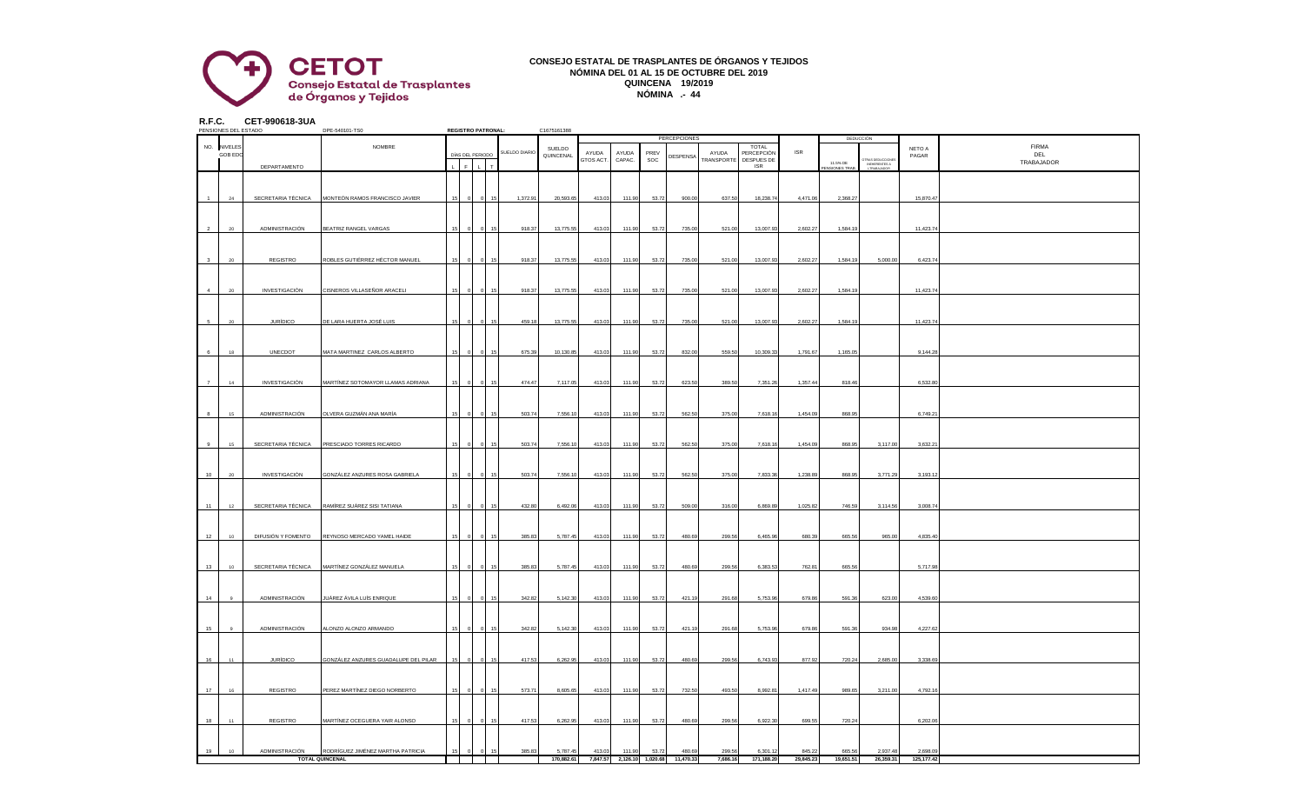

## **CONSEJO ESTATAL DE TRASPLANTES DE ÓRGANOS Y TEJIDOS NÓMINA DEL 01 AL 15 DE OCTUBRE DEL 2019 QUINCENA 19/2019 NÓMINA .- 44**

**R.F.C. CET-990618-3UA**

|    | PENSIONES DEL ESTADO |                      | DPE-540101-TS0                       |    |                      | <b>REGISTRO PATRONAL:</b> |               | C1675161388 |                    |                            |             |              |                                   |                          |            |                                  |                                                  |            |              |
|----|----------------------|----------------------|--------------------------------------|----|----------------------|---------------------------|---------------|-------------|--------------------|----------------------------|-------------|--------------|-----------------------------------|--------------------------|------------|----------------------------------|--------------------------------------------------|------------|--------------|
|    |                      |                      |                                      |    |                      |                           |               |             |                    |                            |             | PERCEPCIONES |                                   |                          |            |                                  | DEDUCCIÓN                                        |            |              |
|    | NO. NIVELES          |                      | NOMBRE                               |    |                      |                           | SUELDO DIARIO | SUELDO      |                    |                            |             |              |                                   | <b>TOTAL</b>             | <b>ISR</b> |                                  |                                                  | NETO A     | <b>FIRMA</b> |
|    | <b>GOB EDO</b>       |                      |                                      |    | DÍAS DEL PERIODO     |                           |               | QUINCENAL   | AYUDA<br>GTOS ACT. | AYUDA<br>CAPAC.            | PREV<br>SOC | DESPENSA     | AYUDA<br><b><i>FRANSPORTE</i></b> | PERCEPCIÓN<br>DESPUES DE |            |                                  |                                                  | PAGAR      | DEL          |
|    |                      | DEPARTAMENTO         |                                      |    | $\mathsf{F}^{\perp}$ | $\mathbf{L}$              |               |             |                    |                            |             |              |                                   | <b>ISR</b>               |            | 11.5% DE<br><b>ENSIONES TRAB</b> | TRAS DEDUCCIONE<br>INEHERENTES A<br>L'TRABAJADOR |            | TRABAJADOR   |
|    |                      |                      |                                      |    |                      |                           |               |             |                    |                            |             |              |                                   |                          |            |                                  |                                                  |            |              |
|    |                      |                      |                                      |    |                      |                           |               |             |                    |                            |             |              |                                   |                          |            |                                  |                                                  |            |              |
|    |                      |                      |                                      |    |                      |                           |               |             |                    |                            |             |              |                                   |                          |            |                                  |                                                  |            |              |
|    | 24                   | SECRETARIA TÉCNICA   | MONTEÓN RAMOS FRANCISCO JAVIER       |    |                      |                           | 1,372.91      | 20,593.65   | 413.03             | 111.90                     | 53.72       | 900.00       | 637.50                            | 18,238.74                | 4,471.06   | 2,368.27                         |                                                  | 15,870.47  |              |
|    |                      |                      |                                      |    |                      |                           |               |             |                    |                            |             |              |                                   |                          |            |                                  |                                                  |            |              |
|    |                      |                      |                                      |    |                      |                           |               |             |                    |                            |             |              |                                   |                          |            |                                  |                                                  |            |              |
|    |                      |                      |                                      |    |                      |                           |               |             |                    |                            |             |              |                                   |                          |            |                                  |                                                  |            |              |
|    |                      |                      |                                      |    |                      |                           |               |             |                    |                            |             |              |                                   |                          |            |                                  |                                                  |            |              |
|    | 20                   | ADMINISTRACIÓN       | BEATRIZ RANGEL VARGAS                |    |                      |                           | 918.37        | 13,775.55   | 413.03             | 111.90                     | 53.72       | 735.00       | 521.00                            | 13,007.93                | 2,602.27   | 1,584.1                          |                                                  | 11,423.74  |              |
|    |                      |                      |                                      |    |                      |                           |               |             |                    |                            |             |              |                                   |                          |            |                                  |                                                  |            |              |
|    |                      |                      |                                      |    |                      |                           |               |             |                    |                            |             |              |                                   |                          |            |                                  |                                                  |            |              |
|    |                      |                      |                                      |    |                      |                           |               |             |                    |                            |             |              |                                   |                          |            |                                  |                                                  |            |              |
|    | $20 -$               | REGISTRO             | ROBLES GUTIÉRREZ HÉCTOR MANUEL       |    |                      |                           | 918.37        | 13,775.55   | 413.03             | 111.90                     | 53.72       | 735.00       | 521.00                            | 13,007.93                | 2,602.27   | 1,584.19                         | 5,000.00                                         | 6,423.74   |              |
|    |                      |                      |                                      |    |                      |                           |               |             |                    |                            |             |              |                                   |                          |            |                                  |                                                  |            |              |
|    |                      |                      |                                      |    |                      |                           |               |             |                    |                            |             |              |                                   |                          |            |                                  |                                                  |            |              |
|    |                      |                      |                                      |    |                      |                           |               |             |                    |                            |             |              |                                   |                          |            |                                  |                                                  |            |              |
|    | $20\degree$          | INVESTIGACIÓN        | CISNEROS VILLASEÑOR ARACELI          | 15 |                      |                           | 918.37        | 13,775.55   | 413.03             | 111.90                     | 53.72       | 735.00       | 521.00                            | 13,007.93                | 2,602.27   | 1,584.19                         |                                                  | 11,423.74  |              |
|    |                      |                      |                                      |    |                      |                           |               |             |                    |                            |             |              |                                   |                          |            |                                  |                                                  |            |              |
|    |                      |                      |                                      |    |                      |                           |               |             |                    |                            |             |              |                                   |                          |            |                                  |                                                  |            |              |
|    |                      |                      |                                      |    |                      |                           |               |             |                    |                            |             |              |                                   |                          |            |                                  |                                                  |            |              |
|    | $20 -$               | <b>JURÍDICO</b>      | DE LARA HUERTA JOSÉ LUIS             |    |                      |                           | 459.18        | 13,775.55   | 413.03             | 111.90                     | 53.72       | 735.00       | 521.00                            | 13,007.93                | 2,602.27   | 1,584.1                          |                                                  | 11,423.74  |              |
|    |                      |                      |                                      |    |                      |                           |               |             |                    |                            |             |              |                                   |                          |            |                                  |                                                  |            |              |
|    |                      |                      |                                      |    |                      |                           |               |             |                    |                            |             |              |                                   |                          |            |                                  |                                                  |            |              |
|    |                      |                      |                                      |    |                      |                           |               |             |                    |                            |             |              |                                   |                          |            |                                  |                                                  |            |              |
|    | 18                   | UNECDOT              | MATA MARTINEZ CARLOS ALBERTO         |    |                      |                           | 675.39        | 10,130.85   | 413.03             | 111.90                     | 53.72       | 832.00       | 559.50                            | 10,309.33                | 1,791.67   | 1,165.0                          |                                                  | 9,144.28   |              |
|    |                      |                      |                                      |    |                      |                           |               |             |                    |                            |             |              |                                   |                          |            |                                  |                                                  |            |              |
|    |                      |                      |                                      |    |                      |                           |               |             |                    |                            |             |              |                                   |                          |            |                                  |                                                  |            |              |
|    |                      |                      |                                      |    |                      |                           |               |             |                    |                            |             |              |                                   |                          |            |                                  |                                                  |            |              |
|    | 14                   | <b>INVESTIGACIÓN</b> | MARTÍNEZ SOTOMAYOR LLAMAS ADRIANA    | 15 |                      |                           | 474.47        | 7,117.05    | 413.03             | 111.90                     | 53.72       | 623.50       | 389.50                            | 7,351.26                 | 1,357.44   | 818.46                           |                                                  | 6,532.80   |              |
|    |                      |                      |                                      |    |                      |                           |               |             |                    |                            |             |              |                                   |                          |            |                                  |                                                  |            |              |
|    |                      |                      |                                      |    |                      |                           |               |             |                    |                            |             |              |                                   |                          |            |                                  |                                                  |            |              |
|    |                      |                      |                                      |    |                      |                           |               |             |                    |                            |             |              |                                   |                          |            |                                  |                                                  |            |              |
|    | 15                   | ADMINISTRACIÓN       | OLVERA GUZMÁN ANA MARÍA              |    |                      |                           | 503.74        | 7,556.10    | 413.03             | 111.90                     | 53.72       | 562.50       | 375.00                            | 7,618.16                 | 1,454.09   | 868.95                           |                                                  | 6,749.21   |              |
|    |                      |                      |                                      |    |                      |                           |               |             |                    |                            |             |              |                                   |                          |            |                                  |                                                  |            |              |
|    |                      |                      |                                      |    |                      |                           |               |             |                    |                            |             |              |                                   |                          |            |                                  |                                                  |            |              |
|    |                      |                      |                                      |    |                      |                           |               |             |                    |                            |             |              |                                   |                          |            |                                  |                                                  |            |              |
|    | 15                   | SECRETARIA TÉCNICA   | PRESCIADO TORRES RICARDO             |    |                      |                           | 503.74        | 7,556.10    | 413.03             | 111.90                     | 53.72       | 562.50       | 375.00                            | 7,618.16                 | 1,454.09   | 868.95                           | 3,117.00                                         | 3,632.2    |              |
|    |                      |                      |                                      |    |                      |                           |               |             |                    |                            |             |              |                                   |                          |            |                                  |                                                  |            |              |
|    |                      |                      |                                      |    |                      |                           |               |             |                    |                            |             |              |                                   |                          |            |                                  |                                                  |            |              |
|    |                      |                      |                                      |    |                      |                           |               |             |                    |                            |             |              |                                   |                          |            |                                  |                                                  |            |              |
| 10 | 20                   | INVESTIGACIÓN        | GONZÁLEZ ANZURES ROSA GABRIELA       |    |                      |                           | 503.74        | 7,556.10    | 413.03             | 111.90                     | 53.72       | 562.50       | 375.00                            | 7,833.36                 | 1,238.89   | 868.95                           | 3,771.29                                         | 3,193.12   |              |
|    |                      |                      |                                      |    |                      |                           |               |             |                    |                            |             |              |                                   |                          |            |                                  |                                                  |            |              |
|    |                      |                      |                                      |    |                      |                           |               |             |                    |                            |             |              |                                   |                          |            |                                  |                                                  |            |              |
|    |                      |                      |                                      |    |                      |                           |               |             |                    |                            |             |              |                                   |                          |            |                                  |                                                  |            |              |
| 11 | 12                   | SECRETARIA TÉCNICA   | RAMÍREZ SUÁREZ SISI TATIANA          |    |                      |                           | 432.80        | 6,492.06    | 413.03             | 111.90                     | 53.72       | 509.00       | 316.00                            | 6,869.89                 | 1,025.82   | 746.59                           | 3,114.56                                         | 3,008.74   |              |
|    |                      |                      |                                      |    |                      |                           |               |             |                    |                            |             |              |                                   |                          |            |                                  |                                                  |            |              |
|    |                      |                      |                                      |    |                      |                           |               |             |                    |                            |             |              |                                   |                          |            |                                  |                                                  |            |              |
|    |                      |                      |                                      |    |                      |                           |               |             |                    |                            |             |              |                                   |                          |            |                                  |                                                  |            |              |
| 12 | 10 <sup>1</sup>      | DIFUSIÓN Y FOMENTO   | REYNOSO MERCADO YAMEL HAIDE          |    |                      |                           | 385.83        | 5,787.45    | 413.03             | 111.90                     | 53.72       | 480.69       | 299.56                            | 6,465.96                 | 680.39     | 665.56                           | 965.00                                           | 4,835.40   |              |
|    |                      |                      |                                      |    |                      |                           |               |             |                    |                            |             |              |                                   |                          |            |                                  |                                                  |            |              |
|    |                      |                      |                                      |    |                      |                           |               |             |                    |                            |             |              |                                   |                          |            |                                  |                                                  |            |              |
|    |                      |                      |                                      |    |                      |                           |               |             |                    |                            |             |              |                                   |                          |            |                                  |                                                  |            |              |
| 13 | 10 <sup>10</sup>     | SECRETARIA TÉCNICA   | MARTÍNEZ GONZÁLEZ MANUELA            |    |                      |                           | 385.83        | 5,787.45    | 413.03             | 111.90                     | 53.72       | 480.69       | 299.56                            | 6,383.53                 | 762.81     | 665.56                           |                                                  | 5,717.98   |              |
|    |                      |                      |                                      |    |                      |                           |               |             |                    |                            |             |              |                                   |                          |            |                                  |                                                  |            |              |
|    |                      |                      |                                      |    |                      |                           |               |             |                    |                            |             |              |                                   |                          |            |                                  |                                                  |            |              |
|    |                      |                      |                                      |    |                      |                           |               |             |                    |                            |             |              |                                   |                          |            |                                  |                                                  |            |              |
| 14 |                      | ADMINISTRACIÓN       | IUÁREZ ÁVILA LUÍS ENRIQUE            |    |                      |                           | 342.82        | 5,142.30    | 413.03             | 111.90                     | 53.72       | 421.19       | 291.68                            | 5,753.96                 | 679.86     | 591.36                           | 623.00                                           | 4,539.60   |              |
|    |                      |                      |                                      |    |                      |                           |               |             |                    |                            |             |              |                                   |                          |            |                                  |                                                  |            |              |
|    |                      |                      |                                      |    |                      |                           |               |             |                    |                            |             |              |                                   |                          |            |                                  |                                                  |            |              |
|    |                      |                      |                                      |    |                      |                           |               |             |                    |                            |             |              |                                   |                          |            |                                  |                                                  |            |              |
| 15 | $_{9}$               | ADMINISTRACIÓN       | <b>LONZO ALONZO ARMANDO</b>          |    |                      |                           | 342.82        | 5,142.30    | 413.03             | 111.90                     | 53.72       | 421.19       | 291.68                            | 5,753.96                 | 679.86     | 591.36                           | 934.98                                           | 4,227.62   |              |
|    |                      |                      |                                      |    |                      |                           |               |             |                    |                            |             |              |                                   |                          |            |                                  |                                                  |            |              |
|    |                      |                      |                                      |    |                      |                           |               |             |                    |                            |             |              |                                   |                          |            |                                  |                                                  |            |              |
|    |                      |                      |                                      |    |                      |                           |               |             |                    |                            |             |              |                                   |                          |            |                                  |                                                  |            |              |
| 16 | 11                   | <b>JURÍDICO</b>      | SONZÁLEZ ANZURES GUADALUPE DEL PILAR |    |                      |                           | 417.53        | 6,262.95    | 413.03             | 111.90                     | 53.72       | 480.69       | 299.56                            | 6,743.93                 | 877.92     | 720.24                           | 2,685.00                                         | 3,338.69   |              |
|    |                      |                      |                                      |    |                      |                           |               |             |                    |                            |             |              |                                   |                          |            |                                  |                                                  |            |              |
|    |                      |                      |                                      |    |                      |                           |               |             |                    |                            |             |              |                                   |                          |            |                                  |                                                  |            |              |
|    |                      |                      |                                      |    |                      |                           |               |             |                    |                            |             |              |                                   |                          |            |                                  |                                                  |            |              |
| 17 | 16                   | REGISTRO             | PEREZ MARTÍNEZ DIEGO NORBERTO        |    |                      |                           | 573.71        | 8,605.65    | 413.03             | 111.90                     | 53.72       | 732.50       | 493.50                            | 8,992.8                  | 1,417.49   | 989.6                            | 3,211.00                                         | 4,792.1    |              |
|    |                      |                      |                                      |    |                      |                           |               |             |                    |                            |             |              |                                   |                          |            |                                  |                                                  |            |              |
|    |                      |                      |                                      |    |                      |                           |               |             |                    |                            |             |              |                                   |                          |            |                                  |                                                  |            |              |
|    |                      |                      |                                      |    |                      |                           |               |             |                    |                            |             |              |                                   |                          |            |                                  |                                                  |            |              |
| 18 | 11                   | REGISTRO             | MARTÍNEZ OCEGUERA YAIR ALONSO        | 15 |                      |                           | 417.53        | 6,262.95    | 413.03             | 111.90                     | 53.72       | 480.69       | 299.56                            | 6,922.30                 | 699.55     | 720.24                           |                                                  | 6,202.06   |              |
|    |                      |                      |                                      |    |                      |                           |               |             |                    |                            |             |              |                                   |                          |            |                                  |                                                  |            |              |
|    |                      |                      |                                      |    |                      |                           |               |             |                    |                            |             |              |                                   |                          |            |                                  |                                                  |            |              |
|    |                      |                      |                                      |    |                      |                           |               |             |                    |                            |             |              |                                   |                          |            |                                  |                                                  |            |              |
| 19 | 10                   | ADMINISTRACIÓN       | RODRÍGUEZ JIMÉNEZ MARTHA PATRICIA    | 15 |                      |                           | 385.83        | 5,787.45    | 413.03             | 111.90                     | 53.72       | 480.69       | 299.56                            | 6,301.12                 | 845.22     | 665.56                           | 2,937.48                                         | 2,698.09   |              |
|    |                      |                      | <b>TOTAL QUINCENAL</b>               |    |                      |                           |               | 170.882.61  |                    | 7.847.57 2.126.10 1.020.68 |             | 11.470.33    | 7.686.16                          | 171.188.20               | 29.845.23  | 19.651.51                        | 26,359.31                                        | 125,177,42 |              |